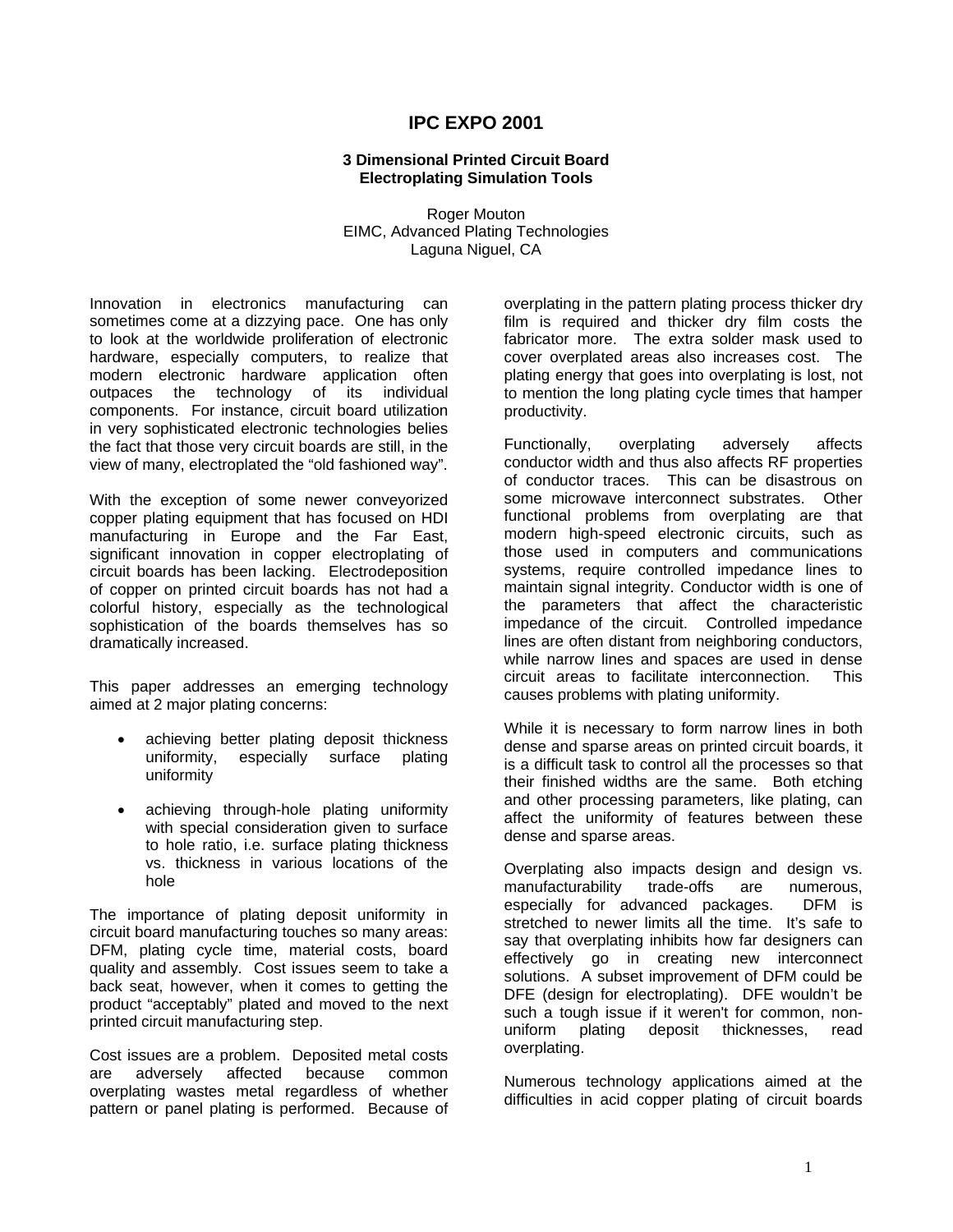# **IPC EXPO 2001**

## **3 Dimensional Printed Circuit Board Electroplating Simulation Tools**

Roger Mouton EIMC, Advanced Plating Technologies Laguna Niguel, CA

Innovation in electronics manufacturing can sometimes come at a dizzying pace. One has only to look at the worldwide proliferation of electronic hardware, especially computers, to realize that modern electronic hardware application often outpaces the technology of its individual components. For instance, circuit board utilization in very sophisticated electronic technologies belies the fact that those very circuit boards are still, in the view of many, electroplated the "old fashioned way".

With the exception of some newer conveyorized copper plating equipment that has focused on HDI manufacturing in Europe and the Far East, significant innovation in copper electroplating of circuit boards has been lacking. Electrodeposition of copper on printed circuit boards has not had a colorful history, especially as the technological sophistication of the boards themselves has so dramatically increased.

This paper addresses an emerging technology aimed at 2 major plating concerns:

- achieving better plating deposit thickness uniformity, especially surface plating uniformity
- achieving through-hole plating uniformity with special consideration given to surface to hole ratio, i.e. surface plating thickness vs. thickness in various locations of the hole

The importance of plating deposit uniformity in circuit board manufacturing touches so many areas: DFM, plating cycle time, material costs, board quality and assembly. Cost issues seem to take a back seat, however, when it comes to getting the product "acceptably" plated and moved to the next printed circuit manufacturing step.

Cost issues are a problem. Deposited metal costs are adversely affected because common overplating wastes metal regardless of whether pattern or panel plating is performed. Because of

overplating in the pattern plating process thicker dry film is required and thicker dry film costs the fabricator more. The extra solder mask used to cover overplated areas also increases cost. The plating energy that goes into overplating is lost, not to mention the long plating cycle times that hamper productivity.

Functionally, overplating adversely affects conductor width and thus also affects RF properties of conductor traces. This can be disastrous on some microwave interconnect substrates. Other functional problems from overplating are that modern high-speed electronic circuits, such as those used in computers and communications systems, require controlled impedance lines to maintain signal integrity. Conductor width is one of the parameters that affect the characteristic impedance of the circuit. Controlled impedance lines are often distant from neighboring conductors, while narrow lines and spaces are used in dense circuit areas to facilitate interconnection. This causes problems with plating uniformity.

While it is necessary to form narrow lines in both dense and sparse areas on printed circuit boards, it is a difficult task to control all the processes so that their finished widths are the same. Both etching and other processing parameters, like plating, can affect the uniformity of features between these dense and sparse areas.

Overplating also impacts design and design vs. manufacturability trade-offs are numerous, especially for advanced packages. DFM is stretched to newer limits all the time. It's safe to say that overplating inhibits how far designers can effectively go in creating new interconnect solutions. A subset improvement of DFM could be DFE (design for electroplating). DFE wouldn't be such a tough issue if it weren't for common, nonuniform plating deposit thicknesses, read overplating.

Numerous technology applications aimed at the difficulties in acid copper plating of circuit boards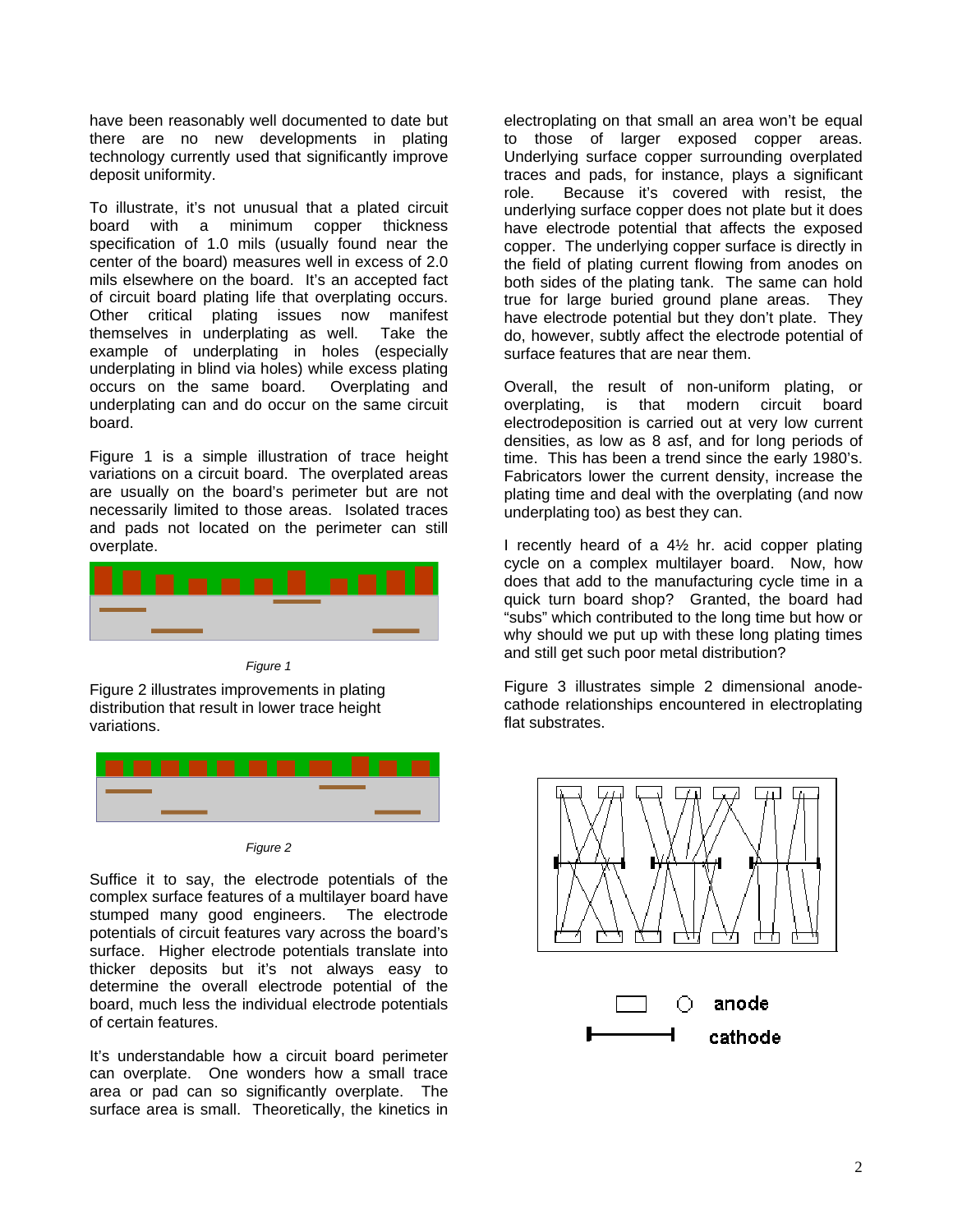have been reasonably well documented to date but there are no new developments in plating technology currently used that significantly improve deposit uniformity.

To illustrate, it's not unusual that a plated circuit board with a minimum copper thickness specification of 1.0 mils (usually found near the center of the board) measures well in excess of 2.0 mils elsewhere on the board. It's an accepted fact of circuit board plating life that overplating occurs. Other critical plating issues now manifest themselves in underplating as well. Take the example of underplating in holes (especially underplating in blind via holes) while excess plating occurs on the same board. Overplating and underplating can and do occur on the same circuit board.

Figure 1 is a simple illustration of trace height variations on a circuit board. The overplated areas are usually on the board's perimeter but are not necessarily limited to those areas. Isolated traces and pads not located on the perimeter can still overplate.



*Figure 1* 

Figure 2 illustrates improvements in plating distribution that result in lower trace height variations.



*Figure 2* 

Suffice it to say, the electrode potentials of the complex surface features of a multilayer board have stumped many good engineers. The electrode potentials of circuit features vary across the board's surface. Higher electrode potentials translate into thicker deposits but it's not always easy to determine the overall electrode potential of the board, much less the individual electrode potentials of certain features.

It's understandable how a circuit board perimeter can overplate. One wonders how a small trace area or pad can so significantly overplate. The surface area is small. Theoretically, the kinetics in

electroplating on that small an area won't be equal to those of larger exposed copper areas. Underlying surface copper surrounding overplated traces and pads, for instance, plays a significant role. Because it's covered with resist, the underlying surface copper does not plate but it does have electrode potential that affects the exposed copper. The underlying copper surface is directly in the field of plating current flowing from anodes on both sides of the plating tank. The same can hold true for large buried ground plane areas. They have electrode potential but they don't plate. They do, however, subtly affect the electrode potential of surface features that are near them.

Overall, the result of non-uniform plating, or overplating, is that modern circuit board electrodeposition is carried out at very low current densities, as low as 8 asf, and for long periods of time. This has been a trend since the early 1980's. Fabricators lower the current density, increase the plating time and deal with the overplating (and now underplating too) as best they can.

I recently heard of a 4½ hr. acid copper plating cycle on a complex multilayer board. Now, how does that add to the manufacturing cycle time in a quick turn board shop? Granted, the board had "subs" which contributed to the long time but how or why should we put up with these long plating times and still get such poor metal distribution?

Figure 3 illustrates simple 2 dimensional anodecathode relationships encountered in electroplating flat substrates.

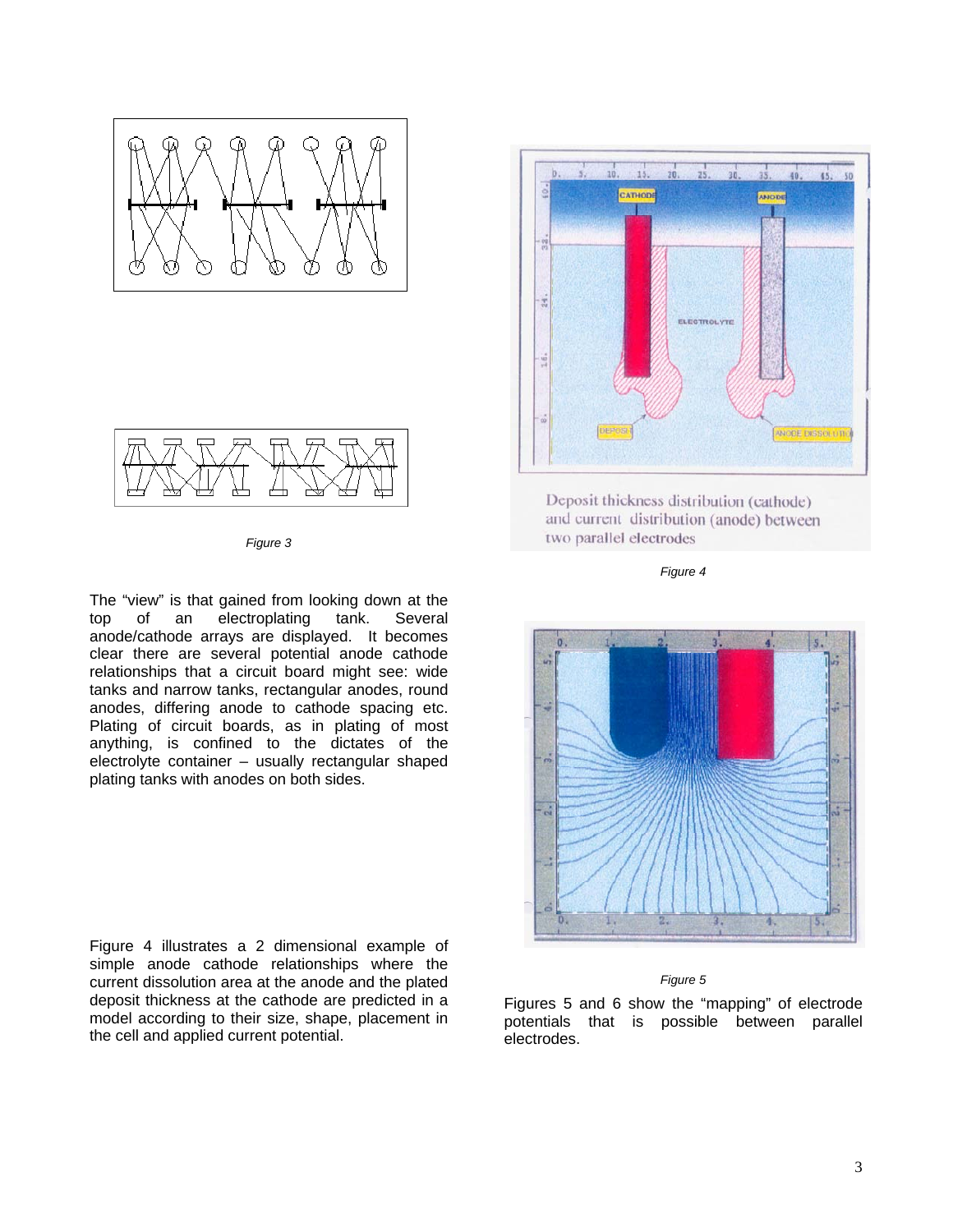



*Figure 3* 

The "view" is that gained from looking down at the top of an electroplating tank. Several anode/cathode arrays are displayed. It becomes clear there are several potential anode cathode relationships that a circuit board might see: wide tanks and narrow tanks, rectangular anodes, round anodes, differing anode to cathode spacing etc. Plating of circuit boards, as in plating of most anything, is confined to the dictates of the electrolyte container – usually rectangular shaped plating tanks with anodes on both sides.

Figure 4 illustrates a 2 dimensional example of simple anode cathode relationships where the current dissolution area at the anode and the plated deposit thickness at the cathode are predicted in a model according to their size, shape, placement in the cell and applied current potential.



Deposit thickness distribution (cathode) and current distribution (anode) between two parallel electrodes

*Figure 4* 





Figures 5 and 6 show the "mapping" of electrode potentials that is possible between parallel electrodes.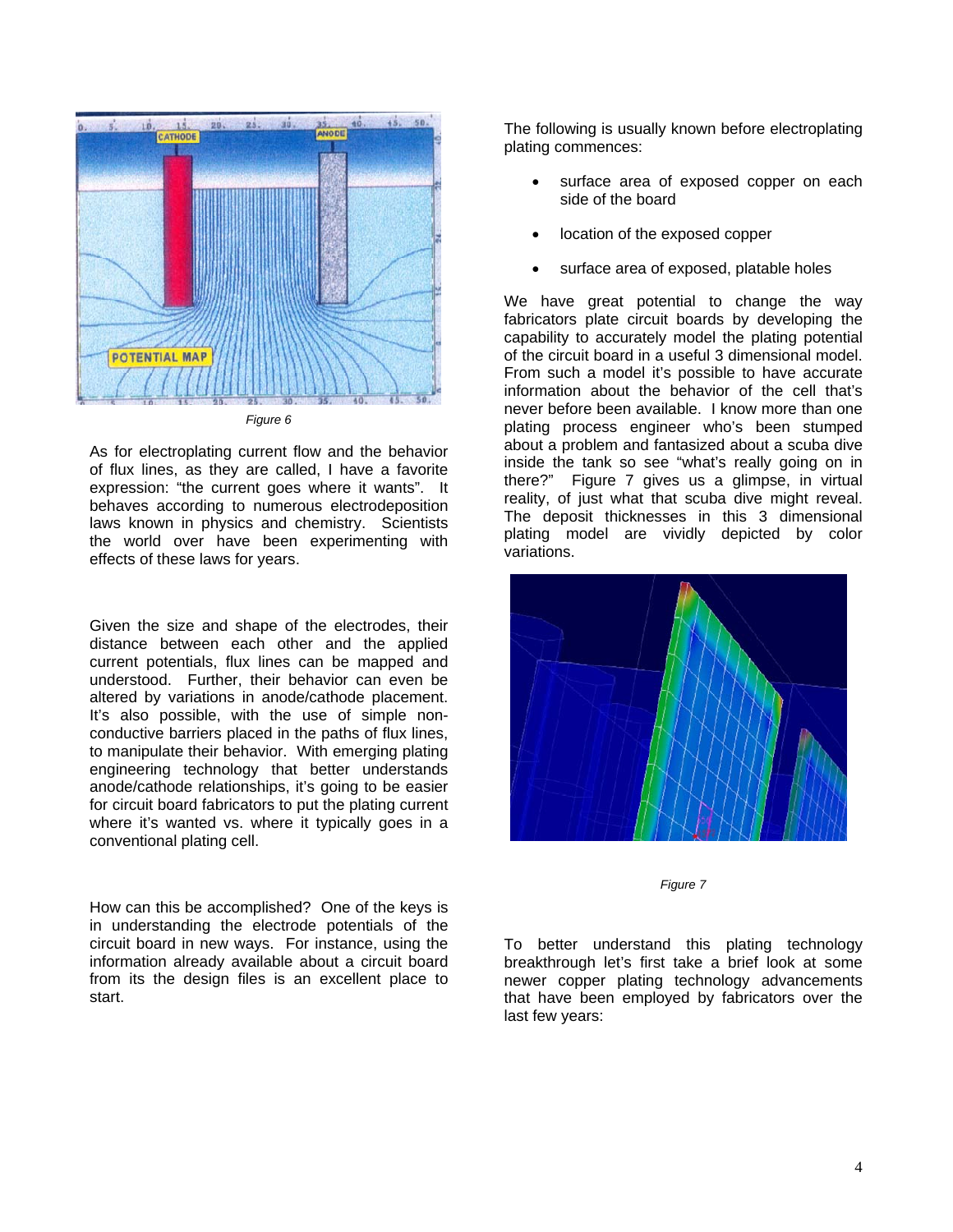

*Figure 6* 

As for electroplating current flow and the behavior of flux lines, as they are called, I have a favorite expression: "the current goes where it wants". It behaves according to numerous electrodeposition laws known in physics and chemistry. Scientists the world over have been experimenting with effects of these laws for years.

Given the size and shape of the electrodes, their distance between each other and the applied current potentials, flux lines can be mapped and understood. Further, their behavior can even be altered by variations in anode/cathode placement. It's also possible, with the use of simple nonconductive barriers placed in the paths of flux lines, to manipulate their behavior. With emerging plating engineering technology that better understands anode/cathode relationships, it's going to be easier for circuit board fabricators to put the plating current where it's wanted vs. where it typically goes in a conventional plating cell.

How can this be accomplished? One of the keys is in understanding the electrode potentials of the circuit board in new ways. For instance, using the information already available about a circuit board from its the design files is an excellent place to start.

The following is usually known before electroplating plating commences:

- surface area of exposed copper on each side of the board
- location of the exposed copper
- surface area of exposed, platable holes

We have great potential to change the way fabricators plate circuit boards by developing the capability to accurately model the plating potential of the circuit board in a useful 3 dimensional model. From such a model it's possible to have accurate information about the behavior of the cell that's never before been available. I know more than one plating process engineer who's been stumped about a problem and fantasized about a scuba dive inside the tank so see "what's really going on in there?" Figure 7 gives us a glimpse, in virtual reality, of just what that scuba dive might reveal. The deposit thicknesses in this 3 dimensional plating model are vividly depicted by color variations.



*Figure 7* 

To better understand this plating technology breakthrough let's first take a brief look at some newer copper plating technology advancements that have been employed by fabricators over the last few years: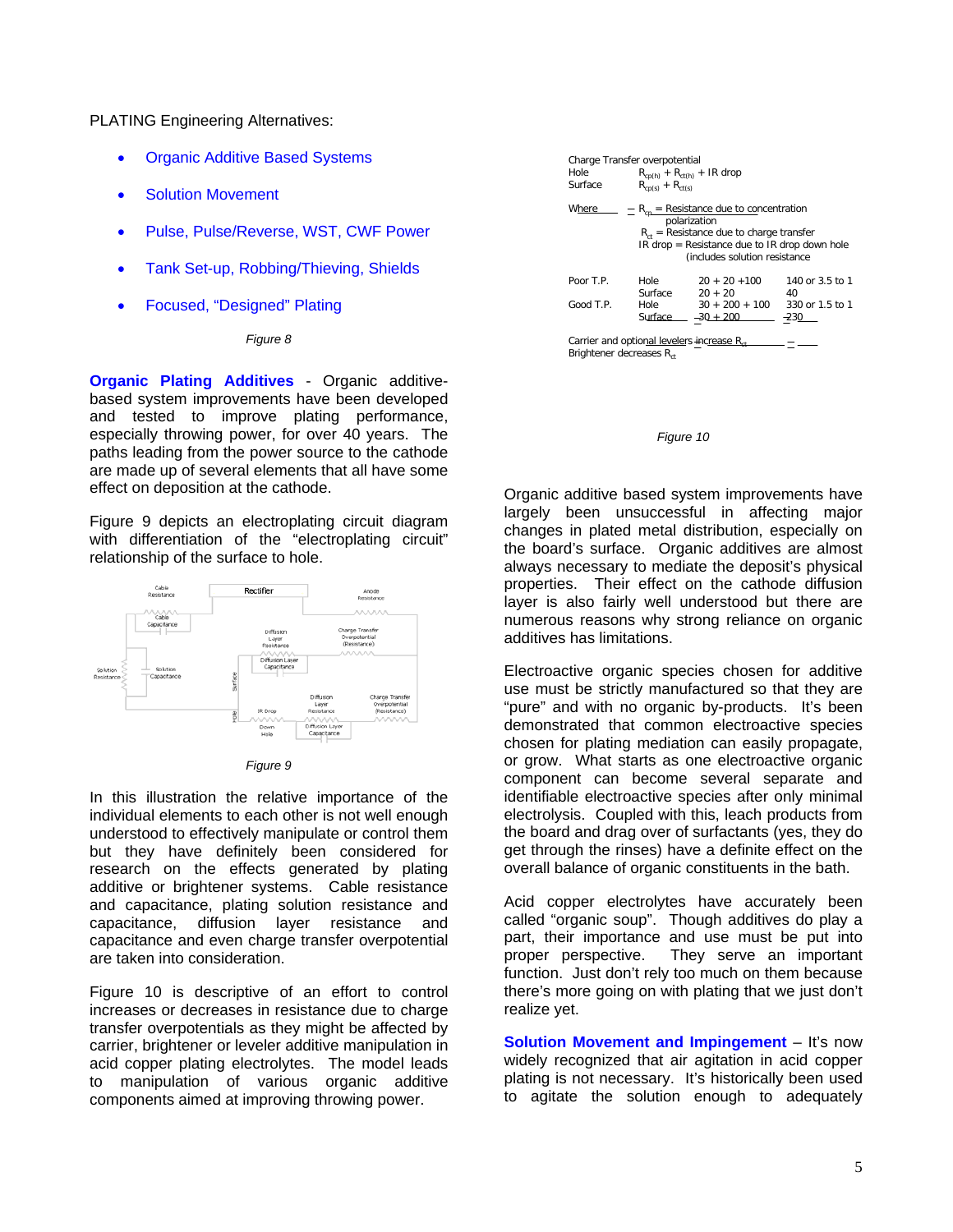PLATING Engineering Alternatives:

- **Organic Additive Based Systems**
- Solution Movement
- Pulse, Pulse/Reverse, WST, CWF Power
- Tank Set-up, Robbing/Thieving, Shields
- Focused, "Designed" Plating

## *Figure 8*

**Organic Plating Additives** - Organic additivebased system improvements have been developed and tested to improve plating performance, especially throwing power, for over 40 years. The paths leading from the power source to the cathode are made up of several elements that all have some effect on deposition at the cathode.

Figure 9 depicts an electroplating circuit diagram with differentiation of the "electroplating circuit" relationship of the surface to hole.



| ıaı ıre |  |
|---------|--|
|         |  |

In this illustration the relative importance of the individual elements to each other is not well enough understood to effectively manipulate or control them but they have definitely been considered for research on the effects generated by plating additive or brightener systems. Cable resistance and capacitance, plating solution resistance and capacitance, diffusion layer resistance and capacitance and even charge transfer overpotential are taken into consideration.

Figure 10 is descriptive of an effort to control increases or decreases in resistance due to charge transfer overpotentials as they might be affected by carrier, brightener or leveler additive manipulation in acid copper plating electrolytes. The model leads to manipulation of various organic additive components aimed at improving throwing power.

| Charge Transfer overpotential<br>Hole<br>Surface                                               | $R_{cp(h)} + R_{ct(h)} + IR$ drop<br>$R_{cn(s)} + R_{ct(s)}$                                                                                                                                       |                                 |                           |
|------------------------------------------------------------------------------------------------|----------------------------------------------------------------------------------------------------------------------------------------------------------------------------------------------------|---------------------------------|---------------------------|
| Where                                                                                          | $R_{cn}$ = Resistance due to concentration<br>polarization<br>$R_{\rm ct}$ = Resistance due to charge transfer<br>$IR drop = Resistance due to IR drop down hole$<br>(includes solution resistance |                                 |                           |
| Poor T.P.                                                                                      | Hole<br>Surface                                                                                                                                                                                    | $20 + 20 + 100$<br>$20 + 20$    | 140 or 3.5 to 1<br>40     |
| Good T.P.                                                                                      | Hole<br>Surface                                                                                                                                                                                    | $30 + 200 + 100$<br>$-30 + 200$ | 330 or 1.5 to 1<br>$-230$ |
| Carrier and optional levelers increase R <sub>et</sub><br>Brightener decreases R <sub>ct</sub> |                                                                                                                                                                                                    |                                 |                           |



Organic additive based system improvements have largely been unsuccessful in affecting major changes in plated metal distribution, especially on the board's surface. Organic additives are almost always necessary to mediate the deposit's physical properties. Their effect on the cathode diffusion layer is also fairly well understood but there are numerous reasons why strong reliance on organic additives has limitations.

Electroactive organic species chosen for additive use must be strictly manufactured so that they are "pure" and with no organic by-products. It's been demonstrated that common electroactive species chosen for plating mediation can easily propagate, or grow. What starts as one electroactive organic component can become several separate and identifiable electroactive species after only minimal electrolysis. Coupled with this, leach products from the board and drag over of surfactants (yes, they do get through the rinses) have a definite effect on the overall balance of organic constituents in the bath.

Acid copper electrolytes have accurately been called "organic soup". Though additives do play a part, their importance and use must be put into proper perspective. They serve an important function. Just don't rely too much on them because there's more going on with plating that we just don't realize yet.

**Solution Movement and Impingement** – It's now widely recognized that air agitation in acid copper plating is not necessary. It's historically been used to agitate the solution enough to adequately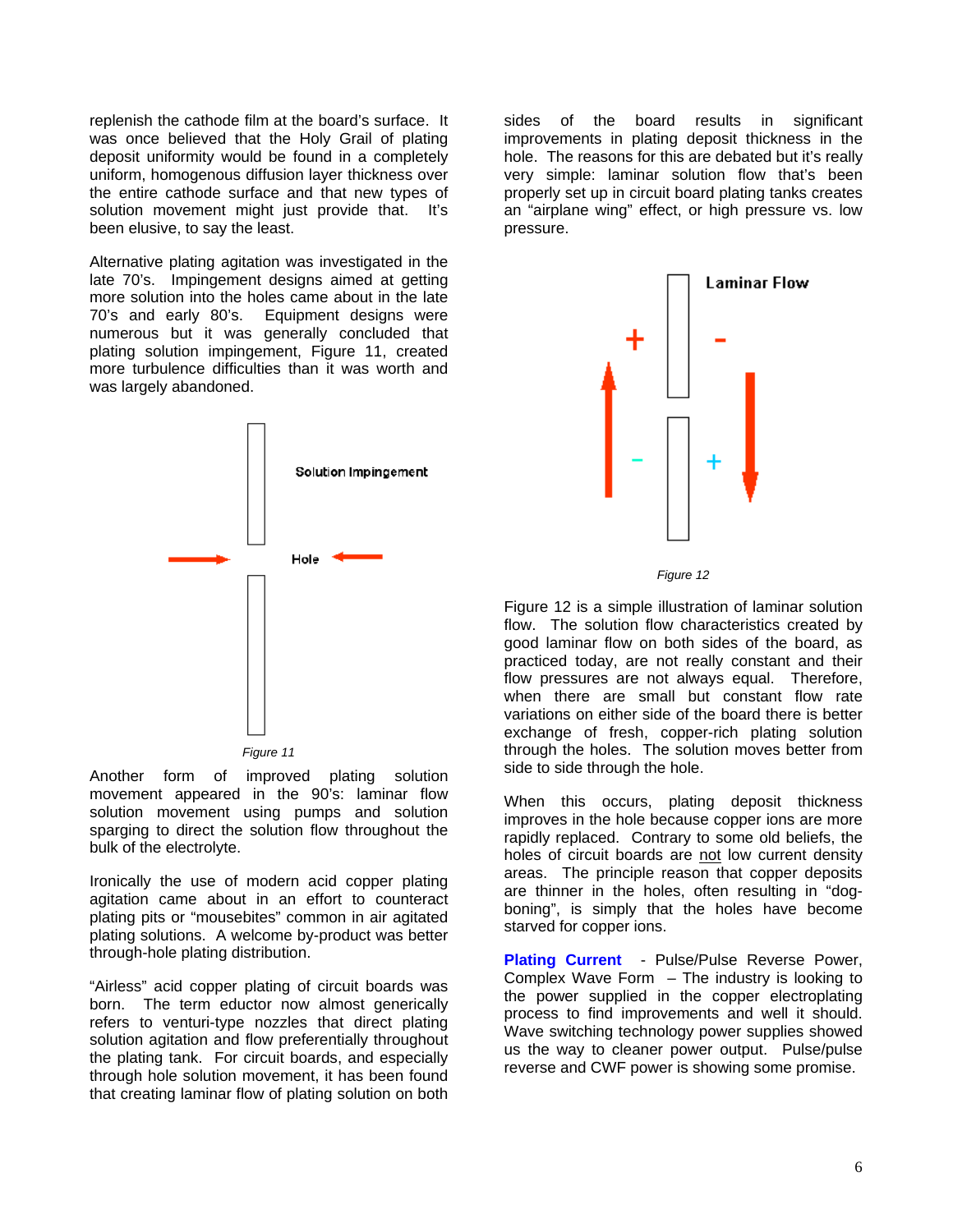replenish the cathode film at the board's surface. It was once believed that the Holy Grail of plating deposit uniformity would be found in a completely uniform, homogenous diffusion layer thickness over the entire cathode surface and that new types of solution movement might just provide that. It's been elusive, to say the least.

more turbulence difficulties than it was worth and was largely abandoned. Alternative plating agitation was investigated in the late 70's. Impingement designs aimed at getting more solution into the holes came about in the late 70's and early 80's. Equipment designs were numerous but it was generally concluded that plating solution impingement, Figure 11, created



*Figure 11* 

sparging to direct the solution flow throughout the bulk of the electrolyte. Another form of improved plating solution movement appeared in the 90's: laminar flow solution movement using pumps and solution

plating solutions. A welcome by-product was better through-hole plating distribution. Ironically the use of modern acid copper plating agitation came about in an effort to counteract plating pits or "mousebites" common in air agitated

"Airless" acid copper plating of circuit boards was born. The term eductor now almost generically refers to venturi-type nozzles that direct plating solution agitation and flow preferentially throughout the plating tank. For circuit boards, and especially through hole solution movement, it has been found that creating laminar flow of plating solution on both

an "airplane wing" effect, or high pressure vs. low pressure. sides of the board results in significant improvements in plating deposit thickness in the hole. The reasons for this are debated but it's really very simple: laminar solution flow that's been properly set up in circuit board plating tanks creates



*Figure 12* 

Figure 12 is a simple illustration of laminar solution flow. The solution flow characteristics created by good laminar flow on both sides of the board, as practiced today, are not really constant and their flow pressures are not always equal. Therefore, when there are small but constant flow rate variations on either side of the board there is better exchange of fresh, copper-rich plating solution through the holes. The solution moves better from side to side through the hole.

When this occurs, plating deposit thickness improves in the hole because copper ions are more rapidly replaced. Contrary to some old beliefs, the holes of circuit boards are not low current density areas. The principle reason that copper deposits are thinner in the holes, often resulting in "dogboning", is simply that the holes have become starved for copper ions.

reverse and CWF power is showing some promise. **Plating Current** - Pulse/Pulse Reverse Power, Complex Wave Form – The industry is looking to the power supplied in the copper electroplating process to find improvements and well it should. Wave switching technology power supplies showed us the way to cleaner power output. Pulse/pulse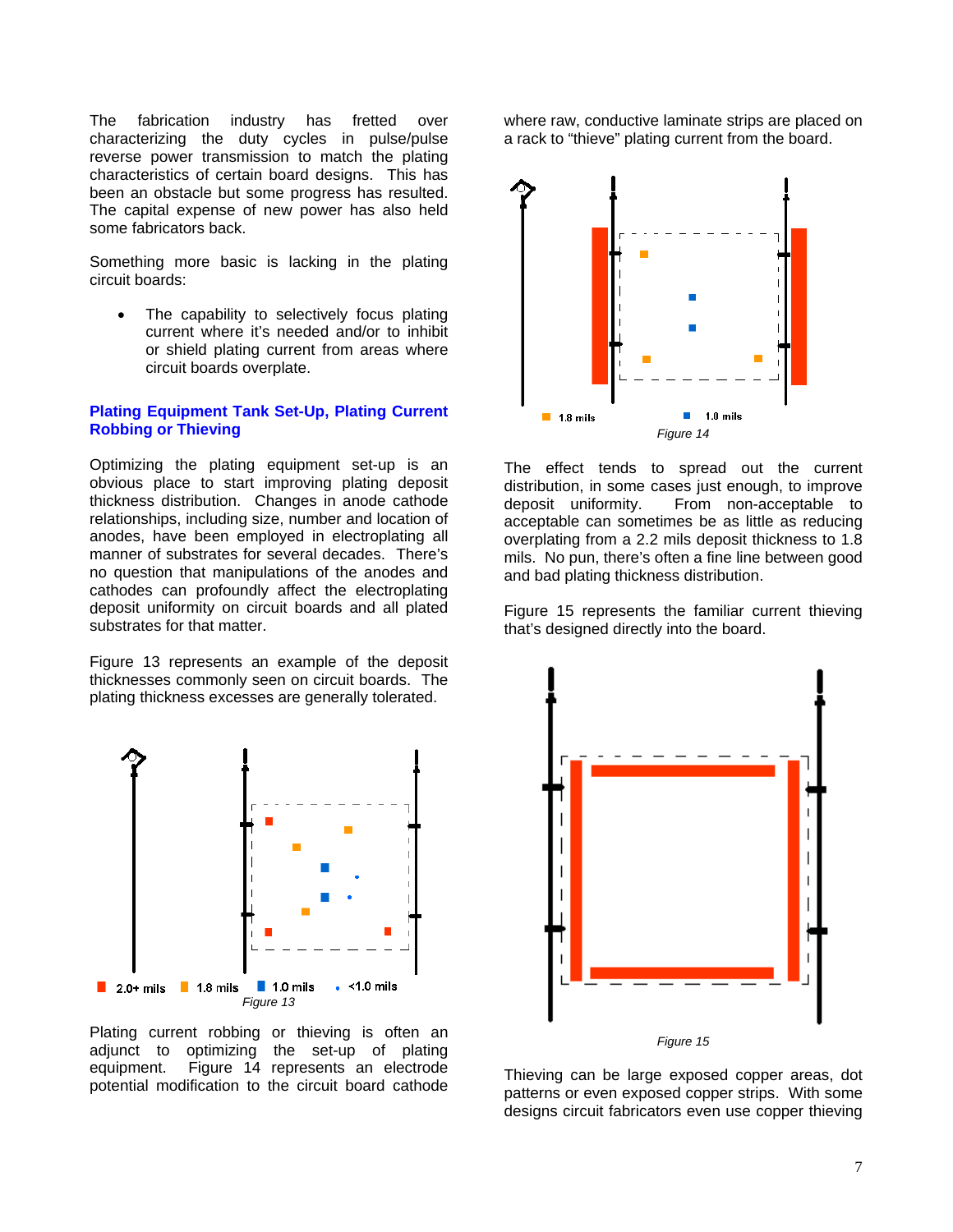The fabrication industry has fretted over characterizing the duty cycles in pulse/pulse reverse power transmission to match the plating characteristics of certain board designs. This has been an obstacle but some progress has resulted. The capital expense of new power has also held some fabricators back.

Something more basic is lacking in the plating circuit boards:

current where it's needed and/or to inhibit or shield plating current from areas where The capability to selectively focus plating circuit boards overplate.

## **Plating Equipment Tank Set-Up, Plating Current Robbing or Thieving**

cathodes can profoundly affect the electroplating deposit uniformity on circuit boards and all plated Optimizing the plating equipment set-up is an obvious place to start improving plating deposit thickness distribution. Changes in anode cathode relationships, including size, number and location of anodes, have been employed in electroplating all manner of substrates for several decades. There's no question that manipulations of the anodes and substrates for that matter.

Figure 13 represents an example of the deposit thicknesses commonly seen on circuit boards. The plating thickness excesses are generally tolerated.



Plating current robbing or thieving is often an adjunct to optimizing the set-up of plating equipment. Figure 14 represents an electrode potential modification to the circuit board cathode

where raw, conductive laminate strips are placed on a rack to "thieve" plating current from the board.



The effect tends to spread out the current distribution, in some cases just enough, to improve deposit uniformity. From non-acceptable to acceptable can sometimes be as little as reducing overplating from a 2.2 mils deposit thickness to 1.8 mils. No pun, there's often a fine line between good and bad plating thickness distribution.

Figure 15 represents the familiar current thieving that's designed directly into the board.



Thieving can be large exposed copper areas, dot patterns or even exposed copper strips. With some designs circuit fabricators even use copper thieving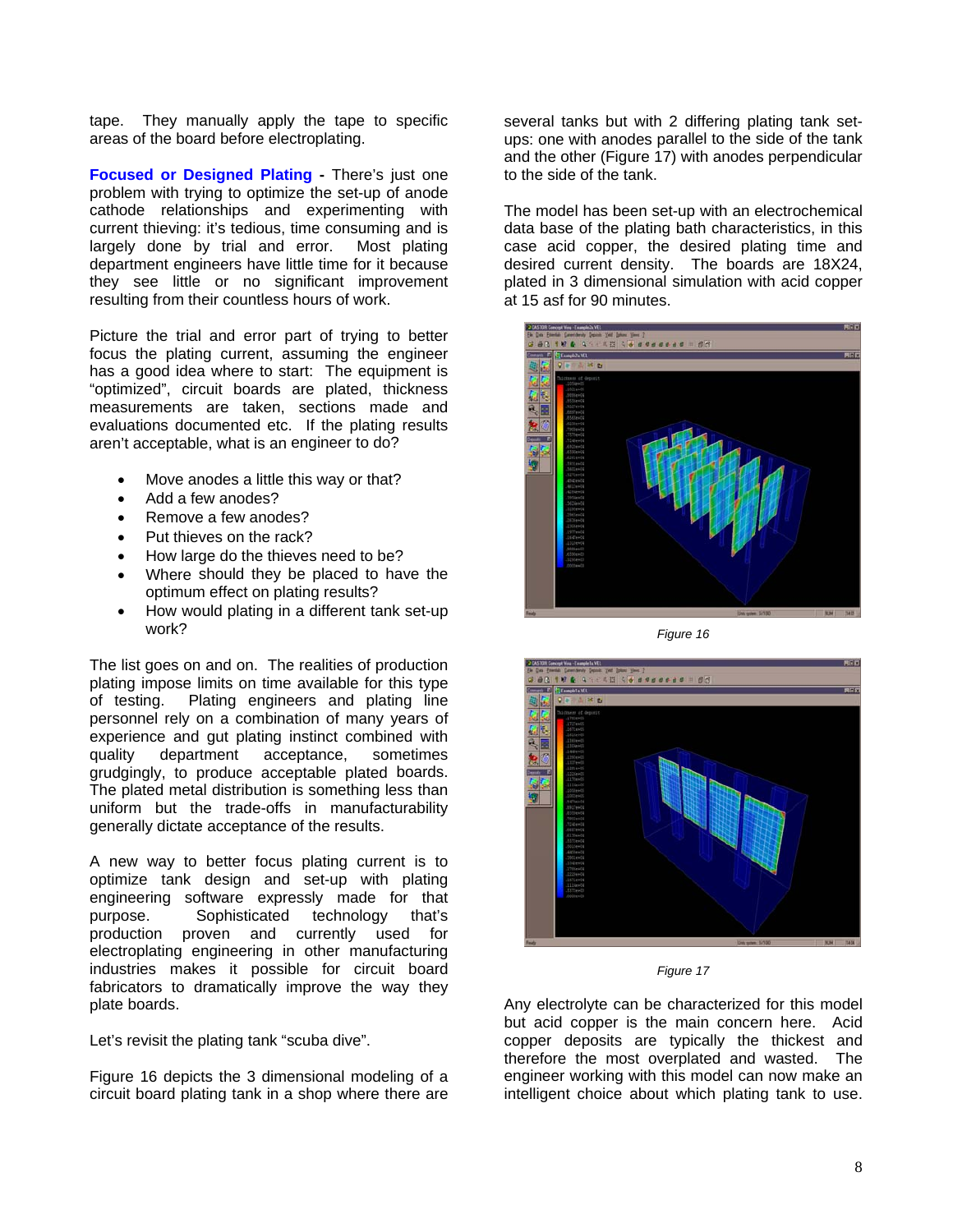tape. They manually apply the tape to specific areas of the board before electroplating.

**Focused or Designed Plating - There's just one** problem with trying to optimize the set-up of anode cathode relationships and experimenting with current thieving: it's tedious, time consuming and is largely done by trial and error. Most plating department engineers have little time for it because they see little or no significant improvement resulting from their countless hours of work.

"optimized", circuit boards are plated, thickness measurements are taken, sections made and evaluations documented etc. If the plating results aren't acceptable, what is an engineer to do? Picture the trial and error part of trying to better focus the plating current, assuming the engineer has a good idea where to start: The equipment is

- Move anodes a little this way or that?
- Add a few anodes?
- Remove a few anodes?
- Put thieves on the rack?
- How large do the thieves need to be?
- Where should they be placed to have the optimum effect on plating results?
- How would plating in a different tank set-up work?

grudgingly, to produce acceptable plated boards. The plated metal distribution is something less than The list goes on and on. The realities of production plating impose limits on time available for this type of testing. Plating engineers and plating line personnel rely on a combination of many years of experience and gut plating instinct combined with quality department acceptance, sometimes uniform but the trade-offs in manufacturability generally dictate acceptance of the results.

electroplating engineering in other manufacturing industries makes it possible for circuit board fabricators to dramatically improve the way they plate boards. A new way to better focus plating current is to optimize tank design and set-up with plating engineering software expressly made for that purpose. Sophisticated technology that's production proven and currently used for

Let's revisit the plating tank "scuba dive".

circuit board plating tank in a shop where there are Figure 16 depicts the 3 dimensional modeling of a

ups: one with anodes parallel to the side of the tank and the other (Figure 17) with anodes perpendicular several tanks but with 2 differing plating tank setto the side of the tank.

desired current density. The boards are 18X24, plated in 3 dimensional simulation with acid copper at 15 asf for 90 minutes. The model has been set-up with an electrochemical data base of the plating bath characteristics, in this case acid copper, the desired plating time and



*Figure 16* 



*Figure 17* 

Any electrolyte can be characterized for this model but acid copper is the main concern here. Acid copper deposits are typically the thickest and therefore the most overplated and wasted. The engineer working with this model can now make an intelligent choice about which plating tank to use.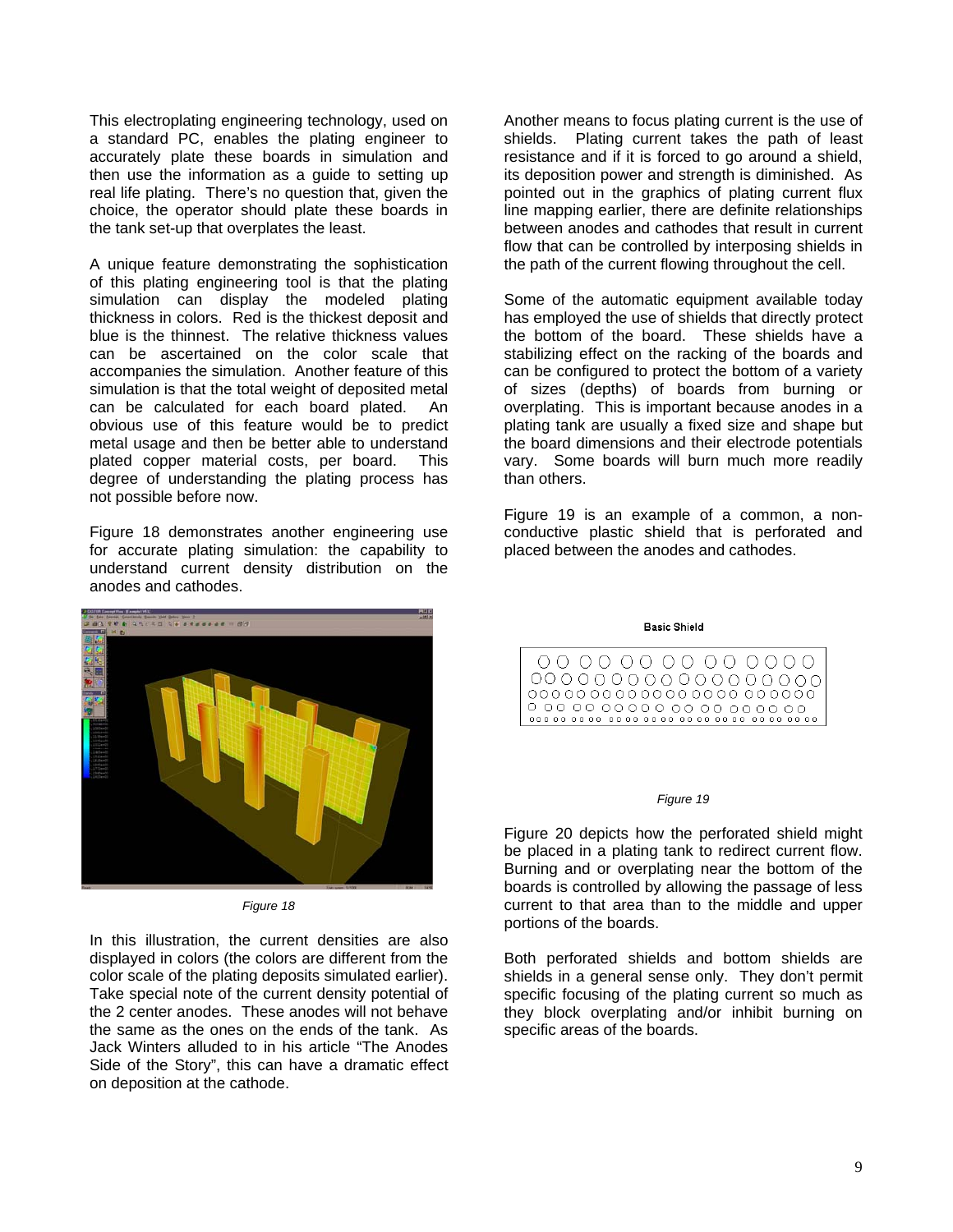This electroplating engineering technology, used on a standard PC, enables the plating engineer to accurately plate these boards in simulation and then use the information as a guide to setting up real life plating. There's no question that, given the choice, the operator should plate these boards in the tank set-up that overplates the least.

plated copper material costs, per board. This degree of understanding the plating process has A unique feature demonstrating the sophistication of this plating engineering tool is that the plating simulation can display the modeled plating thickness in colors. Red is the thickest deposit and blue is the thinnest. The relative thickness values can be ascertained on the color scale that accompanies the simulation. Another feature of this simulation is that the total weight of deposited metal can be calculated for each board plated. An obvious use of this feature would be to predict metal usage and then be better able to understand not possible before now.

for accurate plating simulation: the capability to understand current density distribution on the Figure 18 demonstrates another engineering use anodes and cathodes.



*Figure 18* 

Jack Winters alluded to in his article "The Anodes Side of the Story", this can have a dramatic effect In this illustration, the current densities are also displayed in colors (the colors are different from the color scale of the plating deposits simulated earlier). Take special note of the current density potential of the 2 center anodes. These anodes will not behave the same as the ones on the ends of the tank. As on deposition at the cathode.

Another means to focus plating current is the use of shields. Plating current takes the path of least resistance and if it is forced to go around a shield, its deposition power and strength is diminished. As pointed out in the graphics of plating current flux line mapping earlier, there are definite relationships between anodes and cathodes that result in current flow that can be controlled by interposing shields in the path of the current flowing throughout the cell.

the board dimensions and their electrode potentials vary. Some boards will burn much more readily Some of the automatic equipment available today has employed the use of shields that directly protect the bottom of the board. These shields have a stabilizing effect on the racking of the boards and can be configured to protect the bottom of a variety of sizes (depths) of boards from burning or overplating. This is important because anodes in a plating tank are usually a fixed size and shape but than others.

Figure 19 is an example of a common, a nonconductive plastic shield that is perforated and placed between the anodes and cathodes.

**Basic Shield** 



#### *Figure 19*

boards is controlled by allowing the passage of less current to that area than to the middle and upper Figure 20 depicts how the perforated shield might be placed in a plating tank to redirect current flow. Burning and or overplating near the bottom of the portions of the boards.

specific focusing of the plating current so much as they block overplating and/or inhibit burning on specific areas of the boards. Both perforated shields and bottom shields are shields in a general sense only. They don't permit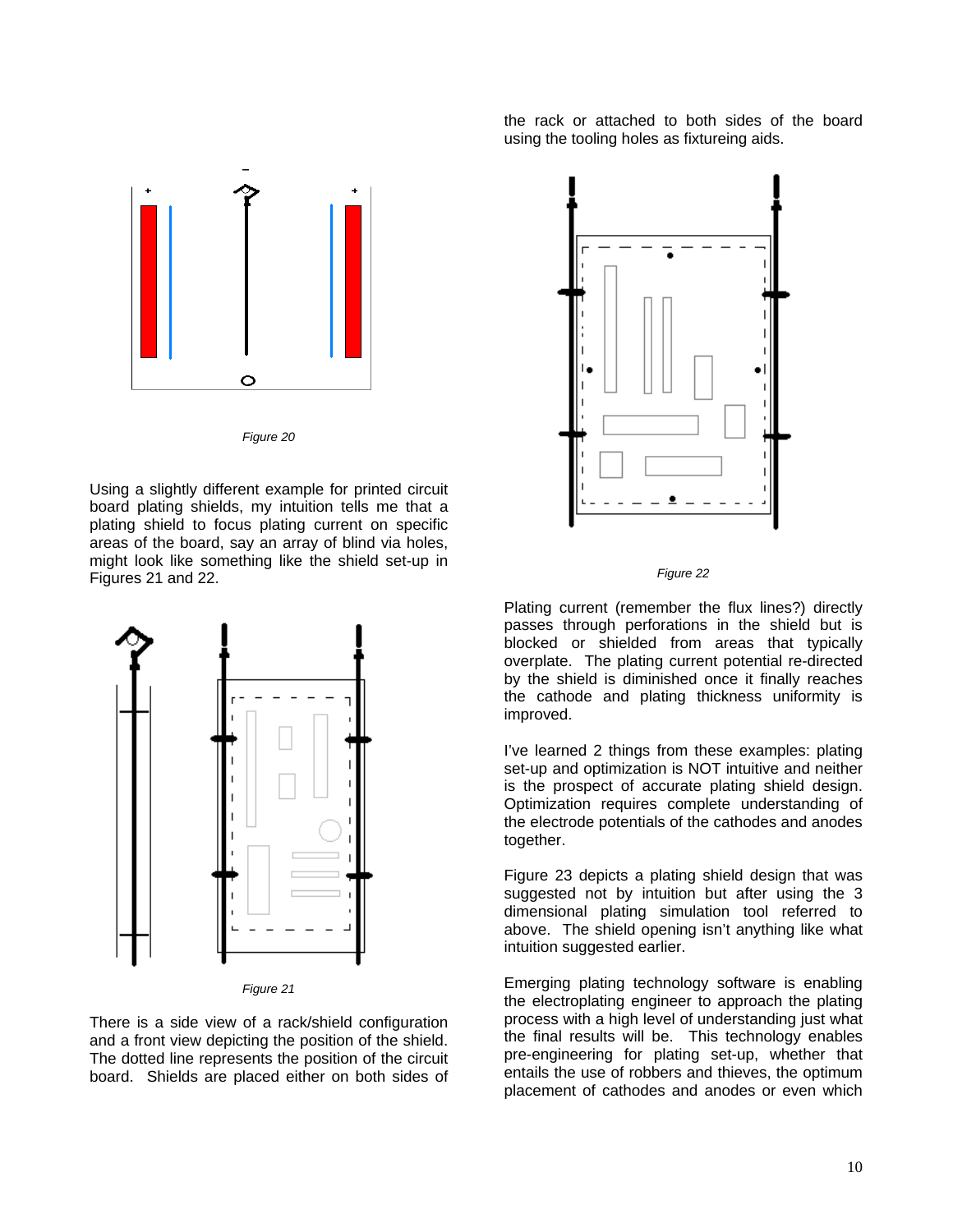

*Figure 20* 

Using a slightly different example for printed circuit board plating shields, my intuition tells me that a plating shield to focus plating current on specific areas of the board, say an array of blind via holes, might look like something like the shield set-up in Figures 21 and 22.



*Figure 21* 

There is a side view of a rack/shield configuration and a front view depicting the position of the shield. The dotted line represents the position of the circuit board. Shields are placed either on both sides of

the rack or attached to both sides of the board using the tooling holes as fixtureing aids.



### *Figure 22*

Plating current (remember the flux lines?) directly passes through perforations in the shield but is blocked or shielded from areas that typically overplate. The plating current potential re-directed by the shield is diminished once it finally reaches the cathode and plating thickness uniformity is improved.

is the prospect of accurate plating shield design. Optimization requires complete understanding of I've learned 2 things from these examples: plating set-up and optimization is NOT intuitive and neither the electrode potentials of the cathodes and anodes together.

suggested not by intuition but after using the 3 dimensional plating simulation tool referred to Figure 23 depicts a plating shield design that was above. The shield opening isn't anything like what intuition suggested earlier.

entails the use of robbers and thieves, the optimum placement of cathodes and anodes or even which Emerging plating technology software is enabling the electroplating engineer to approach the plating process with a high level of understanding just what the final results will be. This technology enables pre-engineering for plating set-up, whether that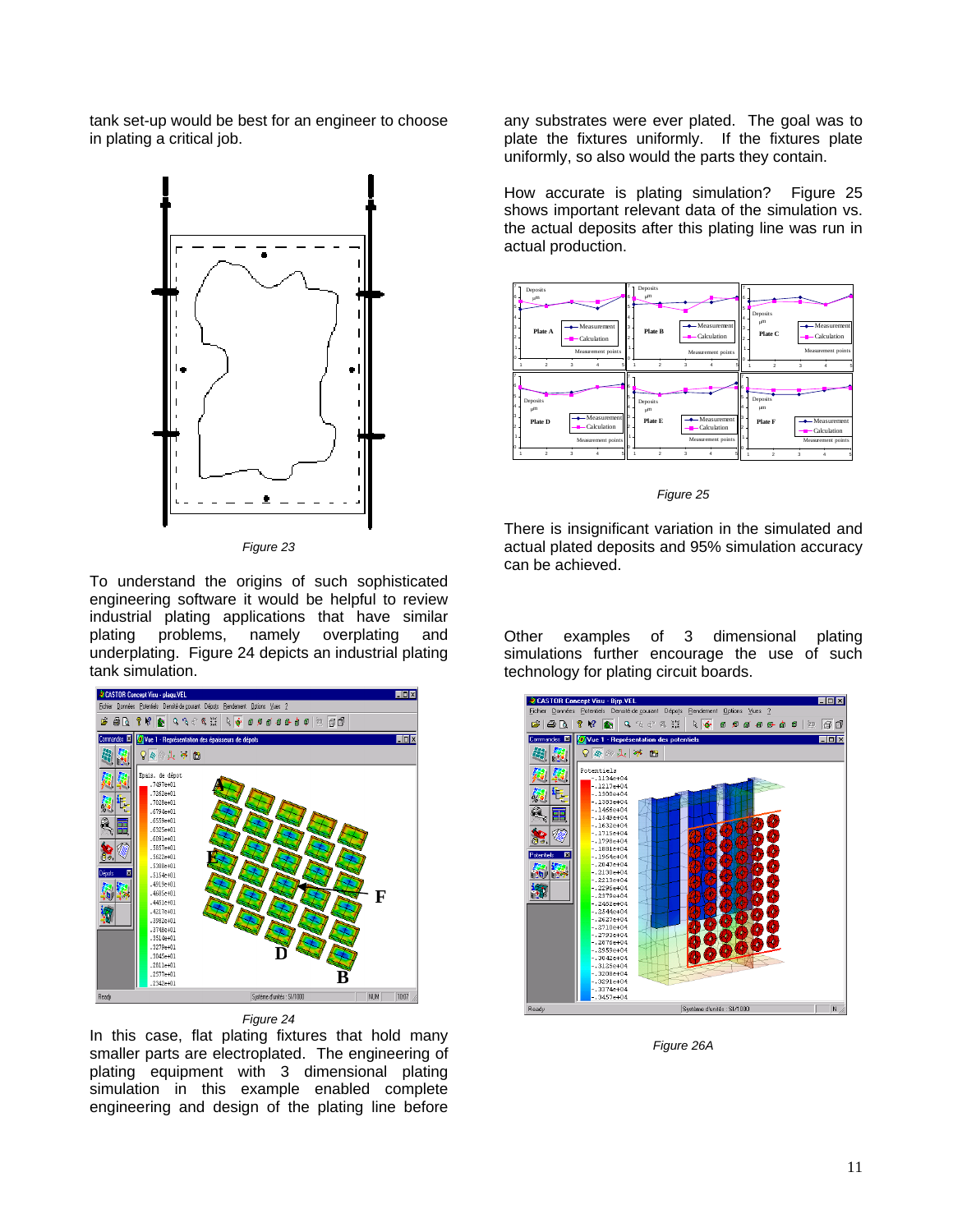tank set-up would be best for an engineer to choose in plating a critical job.



*Figure 23* 

To understand the origins of such sophisticated engineering software it would be helpful to review industrial plating applications that have similar<br>plating problems, namely overplating and and plating problems, namely overplating underplating. Figure 24 depicts an industrial plating tank simulation.



*Figure 24* 

engineering and design of the plating line before In this case, flat plating fixtures that hold many smaller parts are electroplated. The engineering of plating equipment with 3 dimensional plating simulation in this example enabled complete

any substrates were ever plated. The goal was to plate the fixtures uniformly. If the fixtures plate uniformly, so also would the parts they contain.

Figure 25 How accurate is plating simulation? Figure 2 shows important relevant data of the simulation vs. the actual deposits after this plating line was run in actual production.



*Figure 25* 

There is insignificant variation in the simulated and actual plated deposits and 95% simulation accuracy can be achieved.

examples of 3 dimensional plating simulations further encourage the use of such Other technology for plating circuit boards.



*Figure 26A*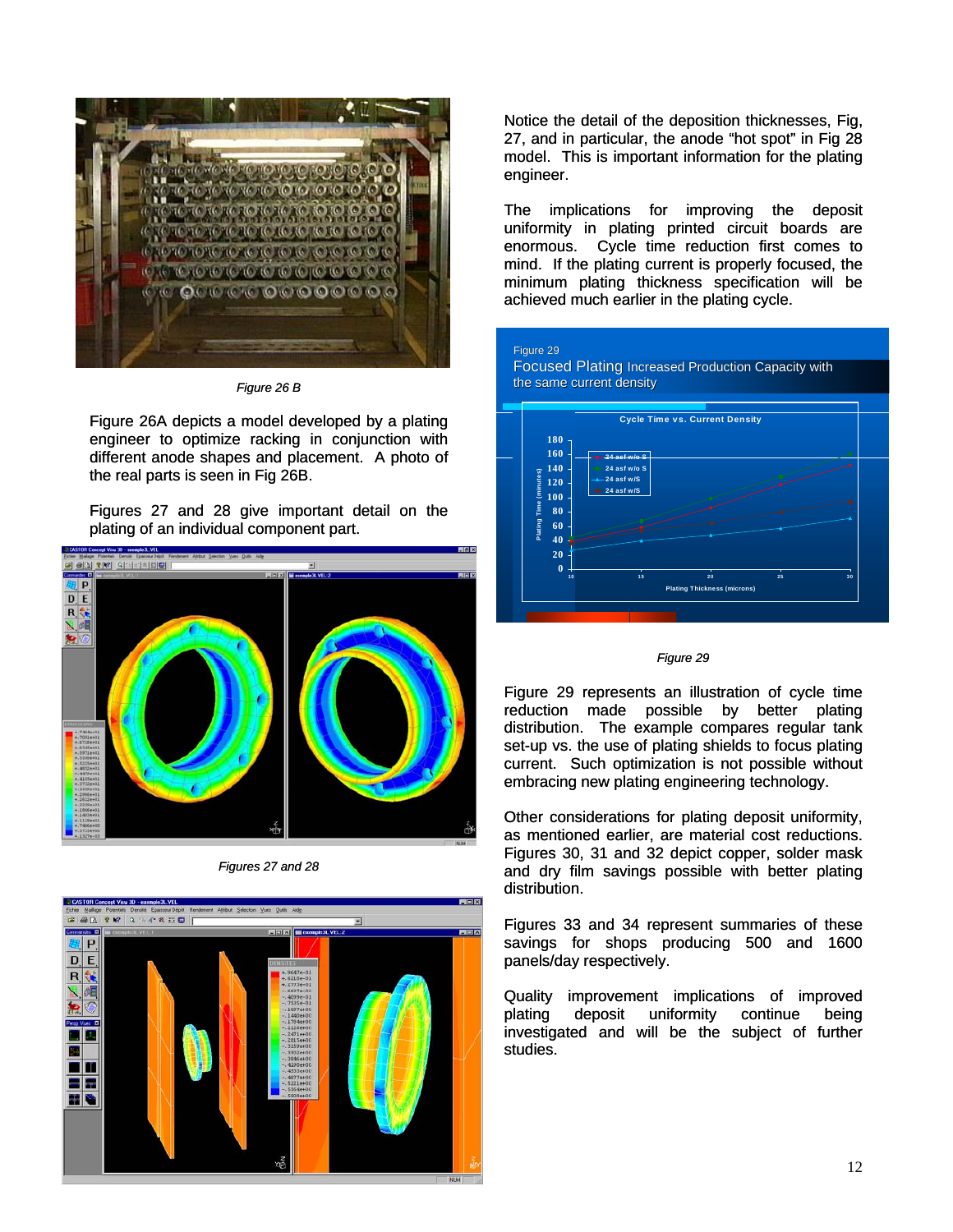

*Figure 26 B* 

Figure 26A depicts a model developed by a plating engineer to optimize racking in conjunction with different anode shapes and placement. A photo of the real parts is seen in Fig 26B.

Figures 27 and 28 give important detail on the plating of an individual component part.



*Figures 27 and 28* 



Notice the detail of the deposition thicknesses, Fig, 27, and in particular, the anode "hot spot" in Fig 28 model. This is important information for the plating engineer.

The implications for improving the deposit uniformity in plating printed circuit boards are enormous. Cycle time reduction first comes to mind. If the plating current is properly focused, the minimum plating thickness specification will be achieved much earlier in the plating cycle.

## Figure 29

Focused Plating Increased Production Capacity with the same current density



#### *Figure 29*

Figure 29 represents an illustration of cycle time reduction made possible by better plating distribution. The example compares regular tank set-up vs. the use of plating shields to focus plating current. Such optimization is not possible without embracing new plating engineering technology.

Other considerations for plating deposit uniformity, as mentioned earlier, are material cost reductions. Figures 30, 31 and 32 depict copper, solder mask and dry film savings possible with better plating distribution.

Figures 33 and 34 represent summaries of these savings for shops producing 500 and 1600 panels/day respectively.

Quality improvement implications of improved plating deposit uniformity continue being investigated and will be the subject of further studies.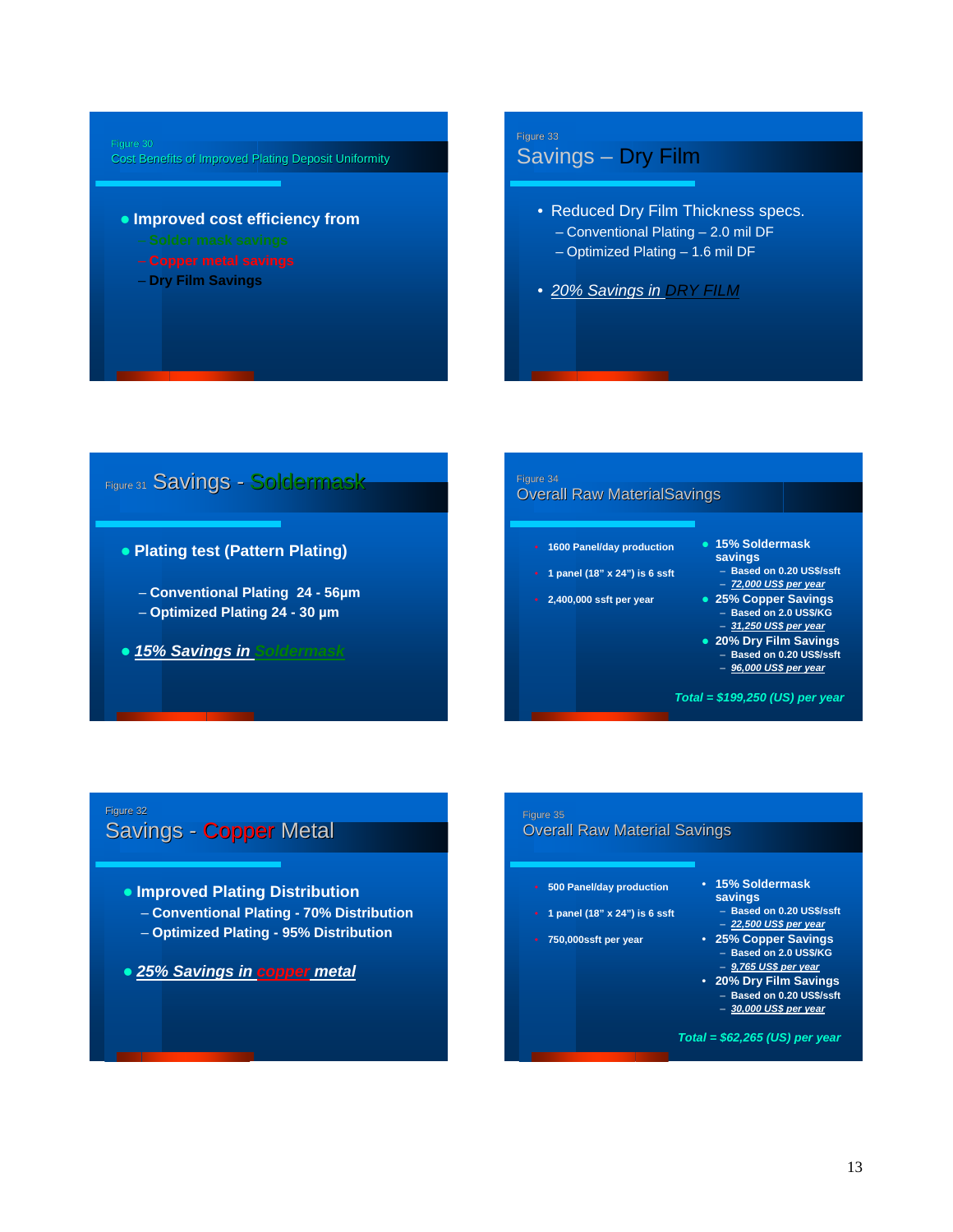# Figure 30

Cost Benefits of Improved Plating Deposit Uniformity

- $\bullet$  **Improved cost efficiency from** 
	-
	-
	- **Dry Film Savings**

# Figure 33 Savings – Dry Film

- Reduced Dry Film Thickness specs. – Conventional Plating – 2.0 mil DF
	- Optimized Plating 1.6 mil DF
- *20% Savings in DRY FILM*

# Figure 31 Savings - Soldermask

## **• Plating test (Pattern Plating)**

- **Conventional Plating 24 56µm**
- **Optimized Plating 24 30 µm**
- z *15% Savings in Soldermask*

## Figure 34 **Overall Raw MaterialSavings**

- **1600 Panel/day production**
- **1 panel (18" x 24") is 6 ssft**
- **2,400,000 ssft per year**
- **15% Soldermask** 
	- **savings** – **Based on 0.20 US\$/ssft**
	- *72,000 US\$ per year*
- **25% Copper Savings** – **Based on 2.0 US\$/KG**
	- *31,250 US\$ per year*
- **20% Dry Film Savings** – **Based on 0.20 US\$/ssft**  – *96,000 US\$ per year*

*Total = \$199,250 (US) per year*

# Figure 32 Savings - Copper Metal

# **• Improved Plating Distribution**

- **Conventional Plating 70% Distribution**
- **Optimized Plating 95% Distribution**
- z *25% Savings in copper metal*